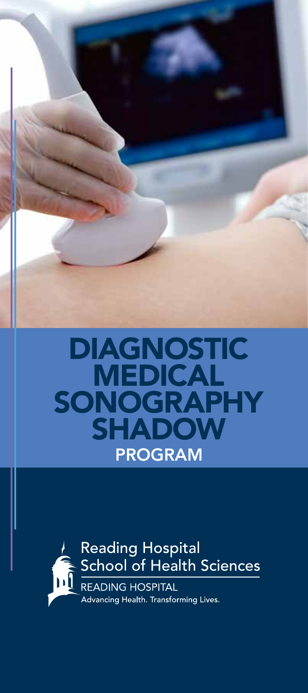

## DIAGNOSTIC MEDICAL SONOGRAPHY SHADOW PROGRAM

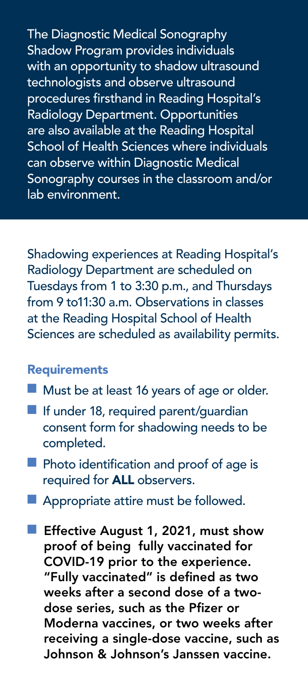The Diagnostic Medical Sonography Shadow Program provides individuals with an opportunity to shadow ultrasound technologists and observe ultrasound procedures firsthand in Reading Hospital's Radiology Department. Opportunities are also available at the Reading Hospital School of Health Sciences where individuals can observe within Diagnostic Medical Sonography courses in the classroom and/or lab environment.

Shadowing experiences at Reading Hospital's Radiology Department are scheduled on Tuesdays from 1 to 3:30 p.m., and Thursdays from 9 to11:30 a.m. Observations in classes at the Reading Hospital School of Health Sciences are scheduled as availability permits.

## **Requirements**

- $\blacksquare$  Must be at least 16 years of age or older.
- $\blacksquare$  If under 18, required parent/quardian consent form for shadowing needs to be completed.
- $\blacksquare$  Photo identification and proof of age is required for ALL observers.
- **n** Appropriate attire must be followed.
- Effective August 1, 2021, must show proof of being fully vaccinated for COVID-19 prior to the experience. "Fully vaccinated" is defined as two weeks after a second dose of a twodose series, such as the Pfizer or Moderna vaccines, or two weeks after receiving a single-dose vaccine, such as Johnson & Johnson's Janssen vaccine.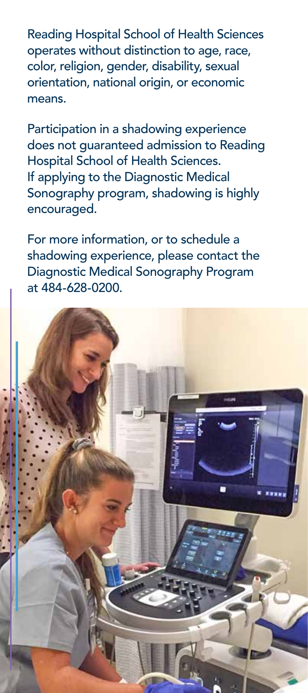Reading Hospital School of Health Sciences operates without distinction to age, race, color, religion, gender, disability, sexual orientation, national origin, or economic means.

Participation in a shadowing experience does not guaranteed admission to Reading Hospital School of Health Sciences. If applying to the Diagnostic Medical Sonography program, shadowing is highly encouraged.

For more information, or to schedule a shadowing experience, please contact the Diagnostic Medical Sonography Program at 484-628-0200.